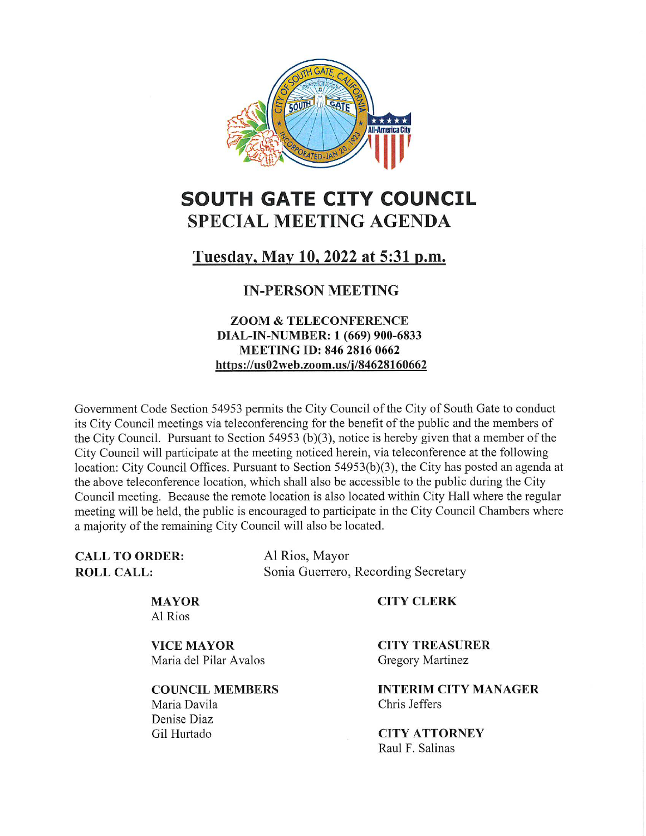

# SOUTH GATE CITY COUNCIL SPECIAL MEETING AGENDA

# Tuesday, May 10, 2022 at 5:31 p.m.

# IN-PERSON MEETING

### ZOOM & TELECONFERENCE DIAL-IN-NUMBER: 1(669) 900-6833 MEETING ID: 846 2816 0662 https://us02web.zoom.us/i/84628160662

Government Code Section 54953 permits the City Council of the City of South Gate to conduct its City Council meetings via teleconferencing for the benefit of the public and the members of the City Council. Pursuant to Section 54953 (b)(3), notice is hereby given that a member of the City Council will participate at the meeting noticed herein, via teleconference at the following location: City Council Offices. Pursuant to Section 54953(b)(3), the City has posted an agenda at the above teleconference location, which shall also be accessible to the public during the City Council meeting. Because the remote location is also located within City Hall where the regular meeting will be held, the public is encouraged to participate in the City Council Chambers where a majority of the remaining City Council will also be located.

CALL TO ORDER: ROLL CALL:

Al Rios, Mayor Sonia Guerrero, Recording Secretary

CITY CLERK

MAYOR Al Rios

VICE MAYOR Maria del Pilar Avalos

COUNCIL MEMBERS Maria Davila Denise Diaz Gil Hurtado

CITY TREASURER Gregory Martinez

INTERIM CITY MANAGER Chris Jeffers

CITY ATTORNEY Raul F. Salinas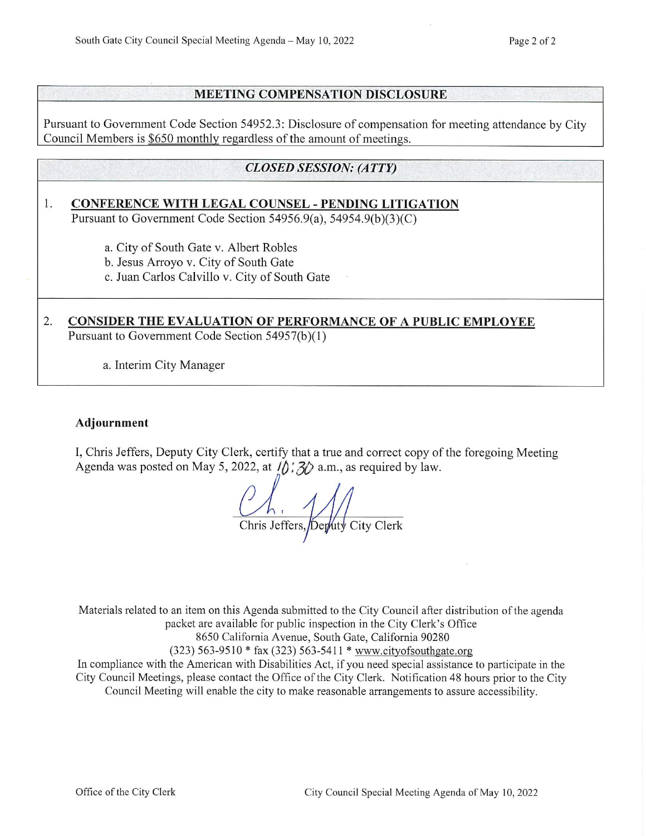#### MEETING COMPENSATION DISCLOSURE

Pursuant to Government Code Section 54952.3: Disclosure of compensation for meeting attendance by City Council Members is \$650 monthly regardless of the amount of meetings.

## CLOSED SESSION: (ATTY)

# 1. CONFERENCE WITH LEGAL COUNSEL - PENDING LITIGATION

Pursuant to Government Code Section 54956.9(a), 54954.9(b)(3)(C)

a. City of South Gate v. Albert Robles

b. Jesus Arroyo v. City of South Gate

c. Juan Carlos Calvillo v. City of South Gate

## 2. CONSIDER THE EVALUATION OF PERFORMANCE OF A PUBLIC EMPLOYEE Pursuant to Government Code Section 54957(b)(1)

a. Interim City Manager

#### Adjournment

I, Chris Jeffers, Deputy City Clerk, certify that a true and correct copy of the foregoing Meeting Agenda was posted on May 5, 2022, at  $\hat{D}$ :  $\hat{3}$  a.m., as required by law.

Ch, Meridian Chris Jeffers, Deputy City Clerk

Materials related to an item on this Agenda submitted to the City Council after distribution of the agenda packet are available for public inspection in the City Clerk's Office

8650 California Avenue, South Gate, California 90280

(323) 563-9510 \* fax (323) 563-5411 \* www.cityofsouthgate.org

In compliance with the American with Disabilities Act, if you need special assistance to participate in the City Council Meetings, please contact the Office of the City Clerk. Notification 48 hours prior to the City Council Meeting will enable the city to make reasonable arrangements to assure accessibility.